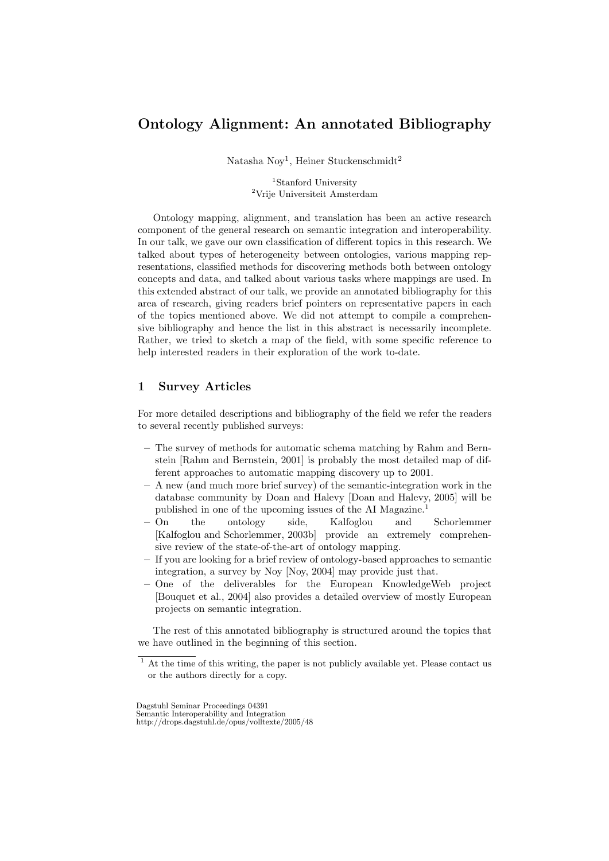# Ontology Alignment: An annotated Bibliography

Natasha Noy<sup>1</sup>, Heiner Stuckenschmidt<sup>2</sup>

<sup>1</sup>Stanford University <sup>2</sup>Vrije Universiteit Amsterdam

Ontology mapping, alignment, and translation has been an active research component of the general research on semantic integration and interoperability. In our talk, we gave our own classification of different topics in this research. We talked about types of heterogeneity between ontologies, various mapping representations, classified methods for discovering methods both between ontology concepts and data, and talked about various tasks where mappings are used. In this extended abstract of our talk, we provide an annotated bibliography for this area of research, giving readers brief pointers on representative papers in each of the topics mentioned above. We did not attempt to compile a comprehensive bibliography and hence the list in this abstract is necessarily incomplete. Rather, we tried to sketch a map of the field, with some specific reference to help interested readers in their exploration of the work to-date.

# 1 Survey Articles

For more detailed descriptions and bibliography of the field we refer the readers to several recently published surveys:

- The survey of methods for automatic schema matching by Rahm and Bernstein [Rahm and Bernstein, 2001] is probably the most detailed map of different approaches to automatic mapping discovery up to 2001.
- A new (and much more brief survey) of the semantic-integration work in the database community by Doan and Halevy [Doan and Halevy, 2005] will be published in one of the upcoming issues of the AI Magazine.<sup>1</sup>
- On the ontology side, Kalfoglou and Schorlemmer [Kalfoglou and Schorlemmer, 2003b] provide an extremely comprehensive review of the state-of-the-art of ontology mapping.
- If you are looking for a brief review of ontology-based approaches to semantic integration, a survey by Noy [Noy, 2004] may provide just that.
- One of the deliverables for the European KnowledgeWeb project [Bouquet et al., 2004] also provides a detailed overview of mostly European projects on semantic integration.

The rest of this annotated bibliography is structured around the topics that we have outlined in the beginning of this section.

Dagstuhl Seminar Proceedings 04391 Semantic Interoperability and Integration http://drops.dagstuhl.de/opus/volltexte/2005/48

 $1$  At the time of this writing, the paper is not publicly available yet. Please contact us or the authors directly for a copy.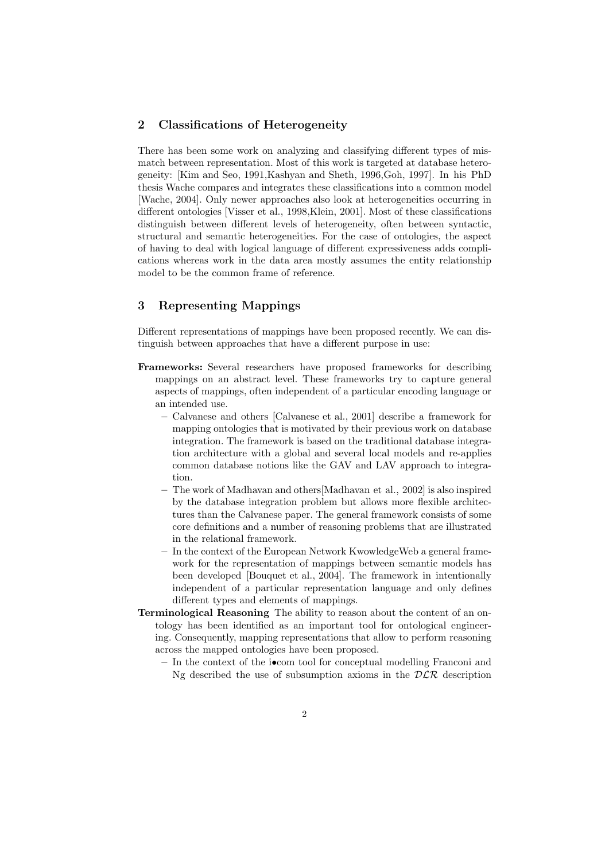#### 2 Classifications of Heterogeneity

There has been some work on analyzing and classifying different types of mismatch between representation. Most of this work is targeted at database heterogeneity: [Kim and Seo, 1991,Kashyan and Sheth, 1996,Goh, 1997]. In his PhD thesis Wache compares and integrates these classifications into a common model [Wache, 2004]. Only newer approaches also look at heterogeneities occurring in different ontologies [Visser et al., 1998,Klein, 2001]. Most of these classifications distinguish between different levels of heterogeneity, often between syntactic, structural and semantic heterogeneities. For the case of ontologies, the aspect of having to deal with logical language of different expressiveness adds complications whereas work in the data area mostly assumes the entity relationship model to be the common frame of reference.

### 3 Representing Mappings

Different representations of mappings have been proposed recently. We can distinguish between approaches that have a different purpose in use:

- Frameworks: Several researchers have proposed frameworks for describing mappings on an abstract level. These frameworks try to capture general aspects of mappings, often independent of a particular encoding language or an intended use.
	- Calvanese and others [Calvanese et al., 2001] describe a framework for mapping ontologies that is motivated by their previous work on database integration. The framework is based on the traditional database integration architecture with a global and several local models and re-applies common database notions like the GAV and LAV approach to integration.
	- The work of Madhavan and others[Madhavan et al., 2002] is also inspired by the database integration problem but allows more flexible architectures than the Calvanese paper. The general framework consists of some core definitions and a number of reasoning problems that are illustrated in the relational framework.
	- In the context of the European Network KwowledgeWeb a general framework for the representation of mappings between semantic models has been developed [Bouquet et al., 2004]. The framework in intentionally independent of a particular representation language and only defines different types and elements of mappings.
- Terminological Reasoning The ability to reason about the content of an ontology has been identified as an important tool for ontological engineering. Consequently, mapping representations that allow to perform reasoning across the mapped ontologies have been proposed.
	- In the context of the i•com tool for conceptual modelling Franconi and Ng described the use of subsumption axioms in the  $DLR$  description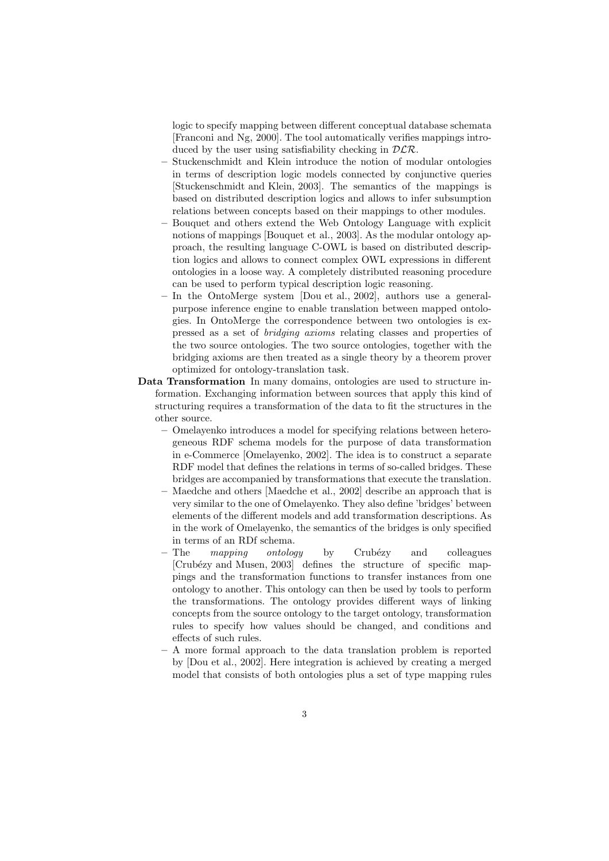logic to specify mapping between different conceptual database schemata [Franconi and Ng, 2000]. The tool automatically verifies mappings introduced by the user using satisfiability checking in  $DLR$ .

- Stuckenschmidt and Klein introduce the notion of modular ontologies in terms of description logic models connected by conjunctive queries [Stuckenschmidt and Klein, 2003]. The semantics of the mappings is based on distributed description logics and allows to infer subsumption relations between concepts based on their mappings to other modules.
- Bouquet and others extend the Web Ontology Language with explicit notions of mappings [Bouquet et al., 2003]. As the modular ontology approach, the resulting language C-OWL is based on distributed description logics and allows to connect complex OWL expressions in different ontologies in a loose way. A completely distributed reasoning procedure can be used to perform typical description logic reasoning.
- In the OntoMerge system [Dou et al., 2002], authors use a generalpurpose inference engine to enable translation between mapped ontologies. In OntoMerge the correspondence between two ontologies is expressed as a set of bridging axioms relating classes and properties of the two source ontologies. The two source ontologies, together with the bridging axioms are then treated as a single theory by a theorem prover optimized for ontology-translation task.
- Data Transformation In many domains, ontologies are used to structure information. Exchanging information between sources that apply this kind of structuring requires a transformation of the data to fit the structures in the other source.
	- Omelayenko introduces a model for specifying relations between heterogeneous RDF schema models for the purpose of data transformation in e-Commerce [Omelayenko, 2002]. The idea is to construct a separate RDF model that defines the relations in terms of so-called bridges. These bridges are accompanied by transformations that execute the translation.
	- Maedche and others [Maedche et al., 2002] describe an approach that is very similar to the one of Omelayenko. They also define 'bridges' between elements of the different models and add transformation descriptions. As in the work of Omelayenko, the semantics of the bridges is only specified in terms of an RDf schema.
	- $-$  The *mapping ontology* by Crubézy and colleagues [Crub´ezy and Musen, 2003] defines the structure of specific mappings and the transformation functions to transfer instances from one ontology to another. This ontology can then be used by tools to perform the transformations. The ontology provides different ways of linking concepts from the source ontology to the target ontology, transformation rules to specify how values should be changed, and conditions and effects of such rules.
	- A more formal approach to the data translation problem is reported by [Dou et al., 2002]. Here integration is achieved by creating a merged model that consists of both ontologies plus a set of type mapping rules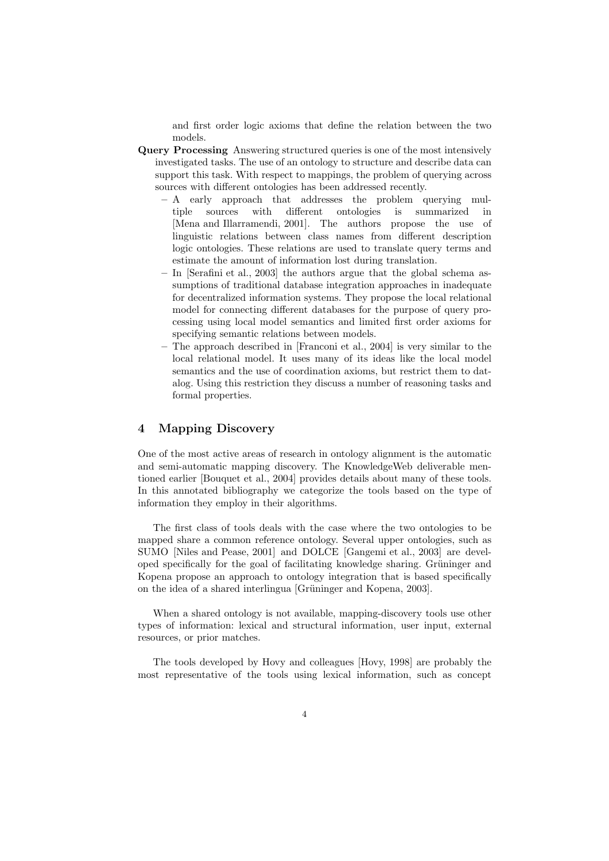and first order logic axioms that define the relation between the two models.

- Query Processing Answering structured queries is one of the most intensively investigated tasks. The use of an ontology to structure and describe data can support this task. With respect to mappings, the problem of querying across sources with different ontologies has been addressed recently.
	- A early approach that addresses the problem querying multiple sources with different ontologies is summarized in [Mena and Illarramendi, 2001]. The authors propose the use of linguistic relations between class names from different description logic ontologies. These relations are used to translate query terms and estimate the amount of information lost during translation.
	- In [Serafini et al., 2003] the authors argue that the global schema assumptions of traditional database integration approaches in inadequate for decentralized information systems. They propose the local relational model for connecting different databases for the purpose of query processing using local model semantics and limited first order axioms for specifying semantic relations between models.
	- The approach described in [Franconi et al., 2004] is very similar to the local relational model. It uses many of its ideas like the local model semantics and the use of coordination axioms, but restrict them to datalog. Using this restriction they discuss a number of reasoning tasks and formal properties.

### 4 Mapping Discovery

One of the most active areas of research in ontology alignment is the automatic and semi-automatic mapping discovery. The KnowledgeWeb deliverable mentioned earlier [Bouquet et al., 2004] provides details about many of these tools. In this annotated bibliography we categorize the tools based on the type of information they employ in their algorithms.

The first class of tools deals with the case where the two ontologies to be mapped share a common reference ontology. Several upper ontologies, such as SUMO [Niles and Pease, 2001] and DOLCE [Gangemi et al., 2003] are developed specifically for the goal of facilitating knowledge sharing. Grüninger and Kopena propose an approach to ontology integration that is based specifically on the idea of a shared interlingua [Grüninger and Kopena, 2003].

When a shared ontology is not available, mapping-discovery tools use other types of information: lexical and structural information, user input, external resources, or prior matches.

The tools developed by Hovy and colleagues [Hovy, 1998] are probably the most representative of the tools using lexical information, such as concept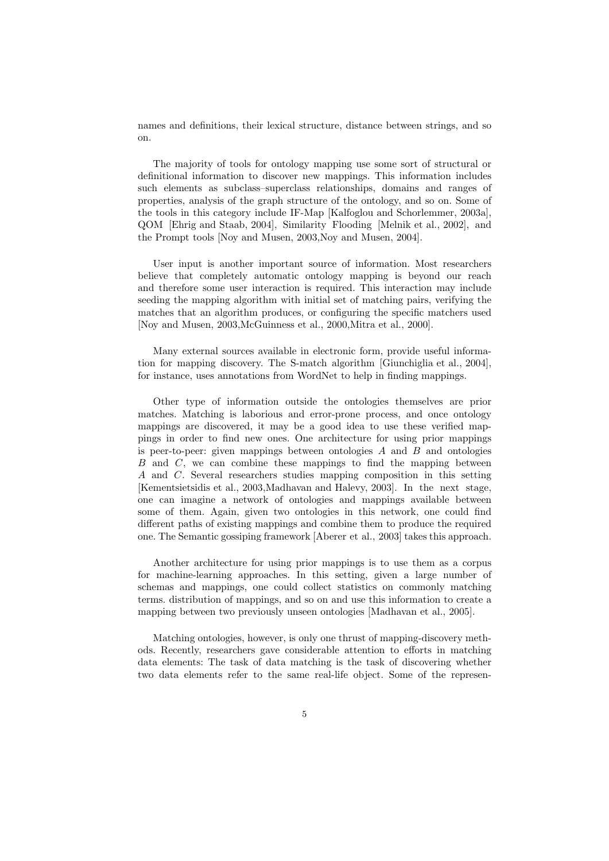names and definitions, their lexical structure, distance between strings, and so on.

The majority of tools for ontology mapping use some sort of structural or definitional information to discover new mappings. This information includes such elements as subclass–superclass relationships, domains and ranges of properties, analysis of the graph structure of the ontology, and so on. Some of the tools in this category include IF-Map [Kalfoglou and Schorlemmer, 2003a], QOM [Ehrig and Staab, 2004], Similarity Flooding [Melnik et al., 2002], and the Prompt tools [Noy and Musen, 2003,Noy and Musen, 2004].

User input is another important source of information. Most researchers believe that completely automatic ontology mapping is beyond our reach and therefore some user interaction is required. This interaction may include seeding the mapping algorithm with initial set of matching pairs, verifying the matches that an algorithm produces, or configuring the specific matchers used [Noy and Musen, 2003,McGuinness et al., 2000,Mitra et al., 2000].

Many external sources available in electronic form, provide useful information for mapping discovery. The S-match algorithm [Giunchiglia et al., 2004], for instance, uses annotations from WordNet to help in finding mappings.

Other type of information outside the ontologies themselves are prior matches. Matching is laborious and error-prone process, and once ontology mappings are discovered, it may be a good idea to use these verified mappings in order to find new ones. One architecture for using prior mappings is peer-to-peer: given mappings between ontologies  $A$  and  $B$  and ontologies  $B$  and  $C$ , we can combine these mappings to find the mapping between A and C. Several researchers studies mapping composition in this setting [Kementsietsidis et al., 2003,Madhavan and Halevy, 2003]. In the next stage, one can imagine a network of ontologies and mappings available between some of them. Again, given two ontologies in this network, one could find different paths of existing mappings and combine them to produce the required one. The Semantic gossiping framework [Aberer et al., 2003] takes this approach.

Another architecture for using prior mappings is to use them as a corpus for machine-learning approaches. In this setting, given a large number of schemas and mappings, one could collect statistics on commonly matching terms. distribution of mappings, and so on and use this information to create a mapping between two previously unseen ontologies [Madhavan et al., 2005].

Matching ontologies, however, is only one thrust of mapping-discovery methods. Recently, researchers gave considerable attention to efforts in matching data elements: The task of data matching is the task of discovering whether two data elements refer to the same real-life object. Some of the represen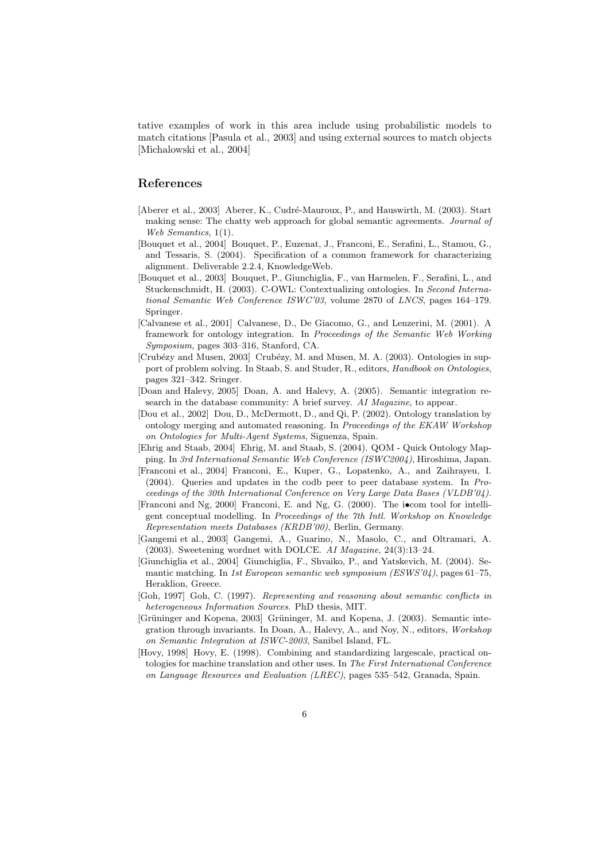tative examples of work in this area include using probabilistic models to match citations [Pasula et al., 2003] and using external sources to match objects [Michalowski et al., 2004]

# References

- [Aberer et al., 2003] Aberer, K., Cudré-Mauroux, P., and Hauswirth, M. (2003). Start making sense: The chatty web approach for global semantic agreements. Journal of Web Semantics, 1(1).
- [Bouquet et al., 2004] Bouquet, P., Euzenat, J., Franconi, E., Serafini, L., Stamou, G., and Tessaris, S. (2004). Specification of a common framework for characterizing alignment. Deliverable 2.2.4, KnowledgeWeb.
- [Bouquet et al., 2003] Bouquet, P., Giunchiglia, F., van Harmelen, F., Serafini, L., and Stuckenschmidt, H. (2003). C-OWL: Contextualizing ontologies. In Second International Semantic Web Conference ISWC'03, volume 2870 of LNCS, pages 164–179. Springer.
- [Calvanese et al., 2001] Calvanese, D., De Giacomo, G., and Lenzerini, M. (2001). A framework for ontology integration. In Proceedings of the Semantic Web Working Symposium, pages 303–316, Stanford, CA.
- [Crubézy and Musen, 2003] Crubézy, M. and Musen, M. A. (2003). Ontologies in support of problem solving. In Staab, S. and Studer, R., editors, Handbook on Ontologies, pages 321–342. Sringer.
- [Doan and Halevy, 2005] Doan, A. and Halevy, A. (2005). Semantic integration research in the database community: A brief survey. AI Magazine, to appear.
- [Dou et al., 2002] Dou, D., McDermott, D., and Qi, P. (2002). Ontology translation by ontology merging and automated reasoning. In Proceedings of the EKAW Workshop on Ontologies for Multi-Agent Systems, Siguenza, Spain.
- [Ehrig and Staab, 2004] Ehrig, M. and Staab, S. (2004). QOM Quick Ontology Mapping. In 3rd International Semantic Web Conference (ISWC2004), Hiroshima, Japan.
- [Franconi et al., 2004] Franconi, E., Kuper, G., Lopatenko, A., and Zaihrayeu, I. (2004). Queries and updates in the codb peer to peer database system. In Proceedings of the 30th International Conference on Very Large Data Bases (VLDB'04).
- [Franconi and Ng, 2000] Franconi, E. and Ng, G. (2000). The i•com tool for intelligent conceptual modelling. In Proceedings of the 7th Intl. Workshop on Knowledge Representation meets Databases (KRDB'00), Berlin, Germany.
- [Gangemi et al., 2003] Gangemi, A., Guarino, N., Masolo, C., and Oltramari, A. (2003). Sweetening wordnet with DOLCE. AI Magazine, 24(3):13–24.
- [Giunchiglia et al., 2004] Giunchiglia, F., Shvaiko, P., and Yatskevich, M. (2004). Semantic matching. In 1st European semantic web symposium (ESWS'04), pages 61–75, Heraklion, Greece.
- [Goh, 1997] Goh, C. (1997). Representing and reasoning about semantic conflicts in heterogeneous Information Sources. PhD thesis, MIT.
- [Grüninger and Kopena, 2003] Grüninger, M. and Kopena, J. (2003). Semantic integration through invariants. In Doan, A., Halevy, A., and Noy, N., editors, Workshop on Semantic Integration at ISWC-2003, Sanibel Island, FL.
- [Hovy, 1998] Hovy, E. (1998). Combining and standardizing largescale, practical ontologies for machine translation and other uses. In The First International Conference on Language Resources and Evaluation (LREC), pages 535–542, Granada, Spain.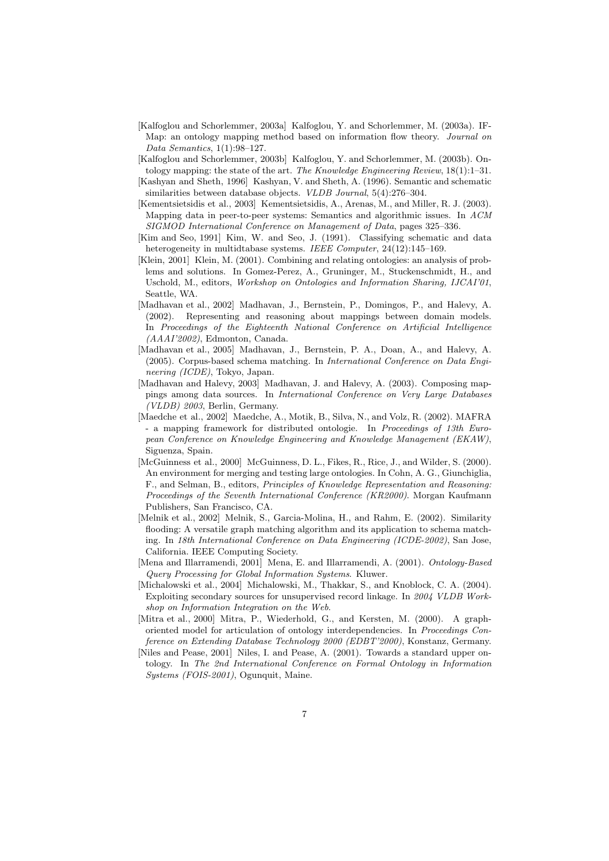- [Kalfoglou and Schorlemmer, 2003a] Kalfoglou, Y. and Schorlemmer, M. (2003a). IF-Map: an ontology mapping method based on information flow theory. Journal on Data Semantics, 1(1):98–127.
- [Kalfoglou and Schorlemmer, 2003b] Kalfoglou, Y. and Schorlemmer, M. (2003b). Ontology mapping: the state of the art. The Knowledge Engineering Review, 18(1):1–31.
- [Kashyan and Sheth, 1996] Kashyan, V. and Sheth, A. (1996). Semantic and schematic similarities between database objects. VLDB Journal, 5(4):276–304.
- [Kementsietsidis et al., 2003] Kementsietsidis, A., Arenas, M., and Miller, R. J. (2003). Mapping data in peer-to-peer systems: Semantics and algorithmic issues. In ACM SIGMOD International Conference on Management of Data, pages 325–336.
- [Kim and Seo, 1991] Kim, W. and Seo, J. (1991). Classifying schematic and data heterogeneity in multidtabase systems. IEEE Computer, 24(12):145–169.
- [Klein, 2001] Klein, M. (2001). Combining and relating ontologies: an analysis of problems and solutions. In Gomez-Perez, A., Gruninger, M., Stuckenschmidt, H., and Uschold, M., editors, Workshop on Ontologies and Information Sharing, IJCAI'01, Seattle, WA.
- [Madhavan et al., 2002] Madhavan, J., Bernstein, P., Domingos, P., and Halevy, A. (2002). Representing and reasoning about mappings between domain models. In Proceedings of the Eighteenth National Conference on Artificial Intelligence (AAAI'2002), Edmonton, Canada.
- [Madhavan et al., 2005] Madhavan, J., Bernstein, P. A., Doan, A., and Halevy, A. (2005). Corpus-based schema matching. In International Conference on Data Engineering (ICDE), Tokyo, Japan.
- [Madhavan and Halevy, 2003] Madhavan, J. and Halevy, A. (2003). Composing mappings among data sources. In International Conference on Very Large Databases (VLDB) 2003, Berlin, Germany.
- [Maedche et al., 2002] Maedche, A., Motik, B., Silva, N., and Volz, R. (2002). MAFRA - a mapping framework for distributed ontologie. In Proceedings of 13th European Conference on Knowledge Engineering and Knowledge Management (EKAW), Siguenza, Spain.
- [McGuinness et al., 2000] McGuinness, D. L., Fikes, R., Rice, J., and Wilder, S. (2000). An environment for merging and testing large ontologies. In Cohn, A. G., Giunchiglia, F., and Selman, B., editors, Principles of Knowledge Representation and Reasoning: Proceedings of the Seventh International Conference (KR2000). Morgan Kaufmann Publishers, San Francisco, CA.
- [Melnik et al., 2002] Melnik, S., Garcia-Molina, H., and Rahm, E. (2002). Similarity flooding: A versatile graph matching algorithm and its application to schema matching. In 18th International Conference on Data Engineering (ICDE-2002), San Jose, California. IEEE Computing Society.
- [Mena and Illarramendi, 2001] Mena, E. and Illarramendi, A. (2001). Ontology-Based Query Processing for Global Information Systems. Kluwer.
- [Michalowski et al., 2004] Michalowski, M., Thakkar, S., and Knoblock, C. A. (2004). Exploiting secondary sources for unsupervised record linkage. In 2004 VLDB Workshop on Information Integration on the Web.
- [Mitra et al., 2000] Mitra, P., Wiederhold, G., and Kersten, M. (2000). A graphoriented model for articulation of ontology interdependencies. In Proceedings Conference on Extending Database Technology 2000 (EDBT'2000), Konstanz, Germany.
- [Niles and Pease, 2001] Niles, I. and Pease, A. (2001). Towards a standard upper ontology. In The 2nd International Conference on Formal Ontology in Information Systems (FOIS-2001), Ogunquit, Maine.